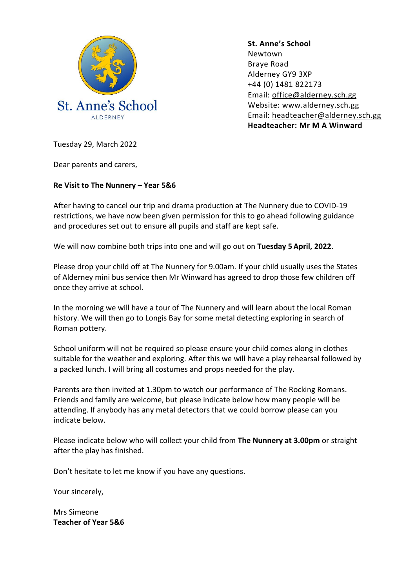

**St. Anne's School**  Newtown Braye Road Alderney GY9 3XP +44 (0) 1481 822173 Email: [office@alderney.sch.gg](mailto:office@alderney.sch.gg) Website: [www.alderney.sch.gg](http://www.alderney.sch.gg/) Email: [headteacher@alderney.sch.gg](mailto:headteacher@alderney.sch.gg) **Headteacher: Mr M A Winward**

Tuesday 29, March 2022

Dear parents and carers,

## **Re Visit to The Nunnery – Year 5&6**

After having to cancel our trip and drama production at The Nunnery due to COVID-19 restrictions, we have now been given permission for this to go ahead following guidance and procedures set out to ensure all pupils and staff are kept safe.

We will now combine both trips into one and will go out on **Tuesday 5April, 2022**.

Please drop your child off at The Nunnery for 9.00am. If your child usually uses the States of Alderney mini bus service then Mr Winward has agreed to drop those few children off once they arrive at school.

In the morning we will have a tour of The Nunnery and will learn about the local Roman history. We will then go to Longis Bay for some metal detecting exploring in search of Roman pottery.

School uniform will not be required so please ensure your child comes along in clothes suitable for the weather and exploring. After this we will have a play rehearsal followed by a packed lunch. I will bring all costumes and props needed for the play.

Parents are then invited at 1.30pm to watch our performance of The Rocking Romans. Friends and family are welcome, but please indicate below how many people will be attending. If anybody has any metal detectors that we could borrow please can you indicate below.

Please indicate below who will collect your child from **The Nunnery at 3.00pm** or straight after the play has finished.

Don't hesitate to let me know if you have any questions.

Your sincerely,

Mrs Simeone **Teacher of Year 5&6**